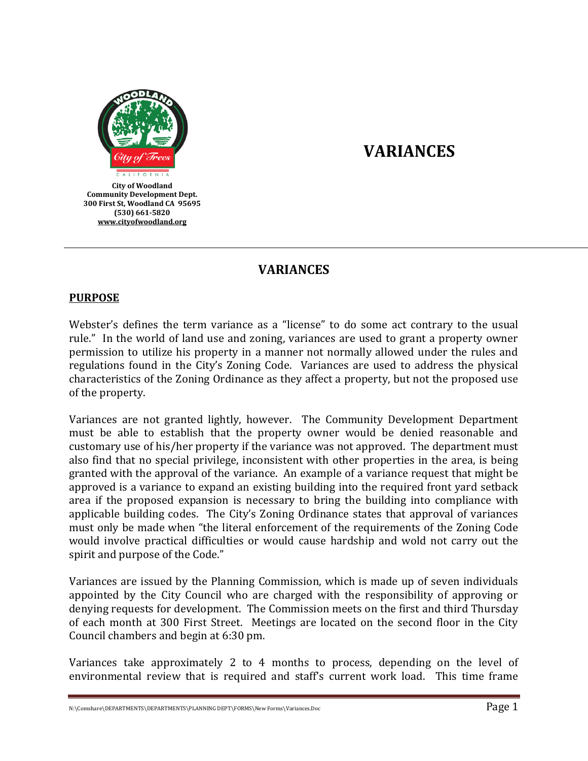

# **VARIANCES**

# **VARIANCES**

#### **PURPOSE**

Webster's defines the term variance as a "license" to do some act contrary to the usual rule." In the world of land use and zoning, variances are used to grant a property owner permission to utilize his property in a manner not normally allowed under the rules and regulations found in the City's Zoning Code. Variances are used to address the physical characteristics of the Zoning Ordinance as they affect a property, but not the proposed use of the property.

Variances are not granted lightly, however. The Community Development Department must be able to establish that the property owner would be denied reasonable and customary use of his/her property if the variance was not approved. The department must also find that no special privilege, inconsistent with other properties in the area, is being granted with the approval of the variance. An example of a variance request that might be approved is a variance to expand an existing building into the required front yard setback area if the proposed expansion is necessary to bring the building into compliance with applicable building codes. The City's Zoning Ordinance states that approval of variances must only be made when "the literal enforcement of the requirements of the Zoning Code would involve practical difficulties or would cause hardship and wold not carry out the spirit and purpose of the Code."

Variances are issued by the Planning Commission, which is made up of seven individuals appointed by the City Council who are charged with the responsibility of approving or denying requests for development. The Commission meets on the first and third Thursday of each month at 300 First Street. Meetings are located on the second floor in the City Council chambers and begin at 6:30 pm.

Variances take approximately 2 to 4 months to process, depending on the level of environmental review that is required and staff's current work load. This time frame

N:\Comshare\DEPARTMENTS\DEPARTMENTS\PLANNING DEPT\FORMS\New Forms\Variances.Doc  $\text{Page 1}$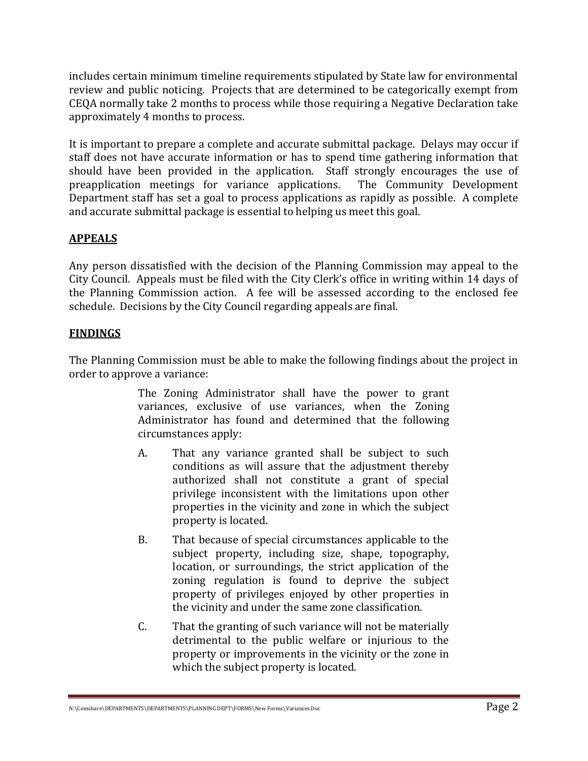includes certain minimum timeline requirements stipulated by State law for environmental review and public noticing. Projects that are determined to be categorically exempt from CEQA normally take 2 months to process while those requiring a Negative Declaration take approximately 4 months to process.

It is important to prepare a complete and accurate submittal package. Delays may occur if staff does not have accurate information or has to spend time gathering information that should have been provided in the application. Staff strongly encourages the use of preapplication meetings for variance applications. The Community Development Department staff has set a goal to process applications as rapidly as possible. A complete and accurate submittal package is essential to helping us meet this goal.

# **APPEALS**

Any person dissatisfied with the decision of the Planning Commission may appeal to the City Council. Appeals must be filed with the City Clerk's office in writing within 14 days of the Planning Commission action. A fee will be assessed according to the enclosed fee schedule. Decisions by the City Council regarding appeals are final.

# **FINDINGS**

The Planning Commission must be able to make the following findings about the project in order to approve a variance:

> The Zoning Administrator shall have the power to grant variances, exclusive of use variances, when the Zoning Administrator has found and determined that the following circumstances apply:

- A. That any variance granted shall be subject to such conditions as will assure that the adjustment thereby authorized shall not constitute a grant of special privilege inconsistent with the limitations upon other properties in the vicinity and zone in which the subject property is located.
- B. That because of special circumstances applicable to the subject property, including size, shape, topography, location, or surroundings, the strict application of the zoning regulation is found to deprive the subject property of privileges enjoyed by other properties in the vicinity and under the same zone classification.
- C. That the granting of such variance will not be materially detrimental to the public welfare or injurious to the property or improvements in the vicinity or the zone in which the subject property is located.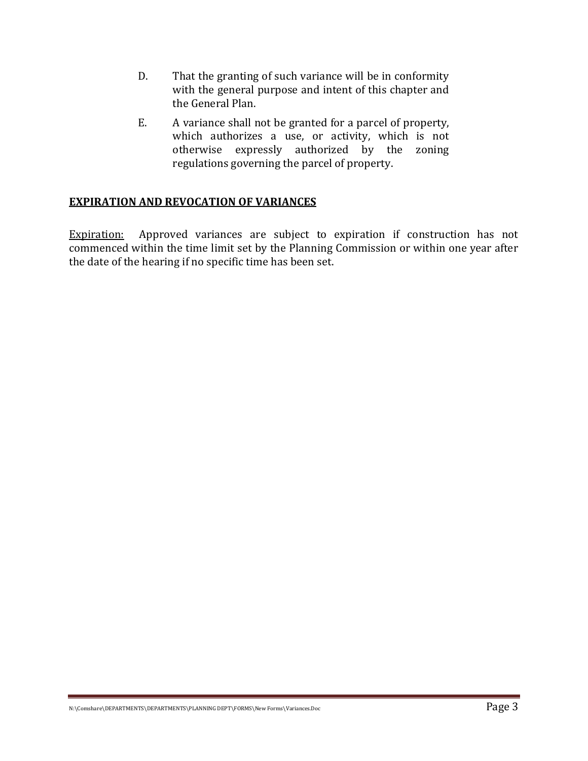- D. That the granting of such variance will be in conformity with the general purpose and intent of this chapter and the General Plan.
- E. A variance shall not be granted for a parcel of property, which authorizes a use, or activity, which is not otherwise expressly authorized by the zoning regulations governing the parcel of property.

# **EXPIRATION AND REVOCATION OF VARIANCES**

Expiration: Approved variances are subject to expiration if construction has not commenced within the time limit set by the Planning Commission or within one year after the date of the hearing if no specific time has been set.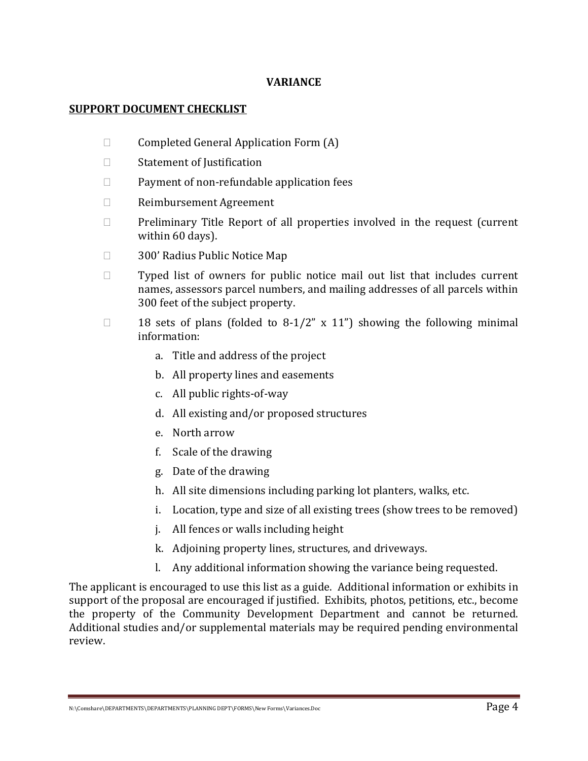## **VARIANCE**

#### **SUPPORT DOCUMENT CHECKLIST**

- $\Box$  Completed General Application Form  $(A)$
- □ Statement of Justification
- $\Box$  Payment of non-refundable application fees
- Reimbursement Agreement
- $\Box$  Preliminary Title Report of all properties involved in the request (current within 60 days).
- □ 300' Radius Public Notice Map
- $\Box$  Typed list of owners for public notice mail out list that includes current names, assessors parcel numbers, and mailing addresses of all parcels within 300 feet of the subject property.
- $\Box$  18 sets of plans (folded to 8-1/2" x 11") showing the following minimal information:
	- a. Title and address of the project
	- b. All property lines and easements
	- c. All public rights-of-way
	- d. All existing and/or proposed structures
	- e. North arrow
	- f. Scale of the drawing
	- g. Date of the drawing
	- h. All site dimensions including parking lot planters, walks, etc.
	- i. Location, type and size of all existing trees (show trees to be removed)
	- j. All fences or walls including height
	- k. Adjoining property lines, structures, and driveways.
	- l. Any additional information showing the variance being requested.

The applicant is encouraged to use this list as a guide. Additional information or exhibits in support of the proposal are encouraged if justified. Exhibits, photos, petitions, etc., become the property of the Community Development Department and cannot be returned. Additional studies and/or supplemental materials may be required pending environmental review.